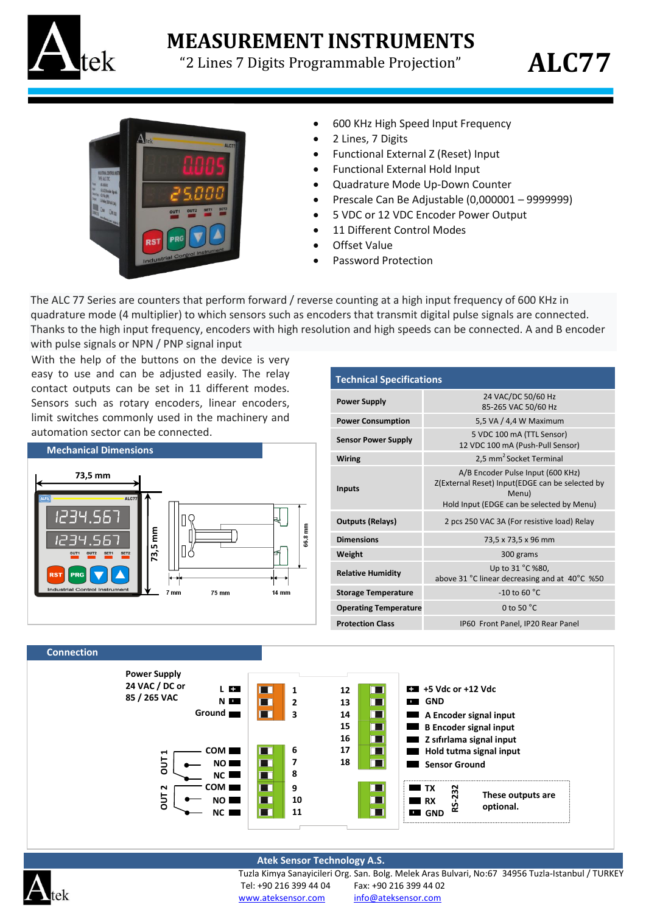

## **MEASUREMENT INSTRUMENTS**

"2 Lines 7 Digits Programmable Projection"





- 600 KHz High Speed Input Frequency
- 2 Lines, 7 Digits
- Functional External Z (Reset) Input
- Functional External Hold Input
- Quadrature Mode Up-Down Counter
- Prescale Can Be Adjustable (0,000001 9999999)
- 5 VDC or 12 VDC Encoder Power Output
- 11 Different Control Modes
- Offset Value
- Password Protection

The ALC 77 Series are counters that perform forward / reverse counting at a high input frequency of 600 KHz in quadrature mode (4 multiplier) to which sensors such as encoders that transmit digital pulse signals are connected. Thanks to the high input frequency, encoders with high resolution and high speeds can be connected. A and B encoder with pulse signals or NPN / PNP signal input

With the help of the buttons on the device is very easy to use and can be adjusted easily. The relay contact outputs can be set in 11 different modes. Sensors such as rotary encoders, linear encoders, limit switches commonly used in the machinery and automation sector can be connected.



| <b>Technical Specifications</b> |                                                                                                                                            |
|---------------------------------|--------------------------------------------------------------------------------------------------------------------------------------------|
| <b>Power Supply</b>             | 24 VAC/DC 50/60 Hz<br>85-265 VAC 50/60 Hz                                                                                                  |
| <b>Power Consumption</b>        | 5,5 VA / 4,4 W Maximum                                                                                                                     |
| <b>Sensor Power Supply</b>      | 5 VDC 100 mA (TTL Sensor)<br>12 VDC 100 mA (Push-Pull Sensor)                                                                              |
| Wiring                          | 2,5 mm <sup>2</sup> Socket Terminal                                                                                                        |
| <b>Inputs</b>                   | A/B Encoder Pulse Input (600 KHz)<br>Z(External Reset) Input(EDGE can be selected by<br>Menu)<br>Hold Input (EDGE can be selected by Menu) |
| <b>Outputs (Relays)</b>         | 2 pcs 250 VAC 3A (For resistive load) Relay                                                                                                |
| <b>Dimensions</b>               | 73,5 x 73,5 x 96 mm                                                                                                                        |
| Weight                          | 300 grams                                                                                                                                  |
| <b>Relative Humidity</b>        | Up to 31 °C %80,<br>above 31 °C linear decreasing and at 40°C %50                                                                          |
| <b>Storage Temperature</b>      | -10 to 60 $\degree$ C                                                                                                                      |
| <b>Operating Temperature</b>    | 0 to 50 $^{\circ}$ C                                                                                                                       |
| <b>Protection Class</b>         | IP60 Front Panel, IP20 Rear Panel                                                                                                          |

## **Connection**



## **Atek Sensor Technology A.S.**



Tuzla Kimya Sanayicileri Org. San. Bolg. Melek Aras Bulvari, No:67 34956 Tuzla-Istanbul / TURKEY Tel: +90 216 399 44 04 Fax: +90 216 399 44 02 [www.ateksensor.com](http://www.alfasanayi.com/) [info@ateksensor.com](mailto:info@alfasanayi.com)